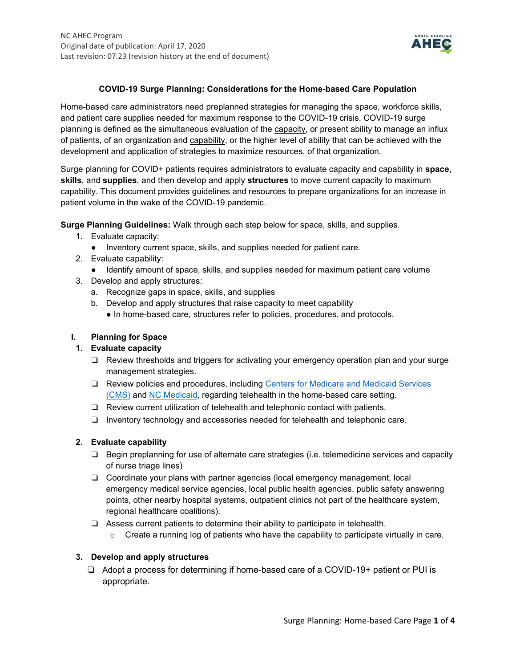

### **COVID-19 Surge Planning: Considerations for the Home-based Care Population**

Home-based care administrators need preplanned strategies for managing the space, workforce skills, and patient care supplies needed for maximum response to the COVID-19 crisis. COVID-19 surge planning is defined as the simultaneous evaluation of the capacity, or present ability to manage an influx of patients, of an organization and capability, or the higher level of ability that can be achieved with the development and application of strategies to maximize resources, of that organization.

Surge planning for COVID+ patients requires administrators to evaluate capacity and capability in **space**, **skills**, and **supplies**, and then develop and apply **structures** to move current capacity to maximum capability. This document provides guidelines and resources to prepare organizations for an increase in patient volume in the wake of the COVID-19 pandemic.

**Surge Planning Guidelines:** Walk through each step below for space, skills, and supplies.

- 1. Evaluate capacity:
	- Inventory current space, skills, and supplies needed for patient care.
- 2. Evaluate capability:
	- Identify amount of space, skills, and supplies needed for maximum patient care volume
- 3. Develop and apply structures:
	- a. Recognize gaps in space, skills, and supplies
	- b. Develop and apply structures that raise capacity to meet capability
		- In home-based care, structures refer to policies, procedures, and protocols.

## **I. Planning for Space**

### **1. Evaluate capacity**

- ❏ Review thresholds and triggers for activating your emergency operation plan and your surge management strategies.
- ❏ Review policies and procedures, including [Centers for Medicare and Medicaid Services](https://www.cms.gov/About-CMS/Agency-Information/Emergency/EPRO/Current-Emergencies/Current-Emergencies-page)  [\(CMS\)](https://www.cms.gov/About-CMS/Agency-Information/Emergency/EPRO/Current-Emergencies/Current-Emergencies-page) and [NC Medicaid,](https://medicaid.ncdhhs.gov/about-us/covid-19-guidance-and-resources/providers/covid-19-telehealth) regarding telehealth in the home-based care setting.
- ❏ Review current utilization of telehealth and telephonic contact with patients.
- ❏ Inventory technology and accessories needed for telehealth and telephonic care.

### **2. Evaluate capability**

- ❏ Begin preplanning for use of alternate care strategies (i.e. telemedicine services and capacity of nurse triage lines)
- ❏ Coordinate your plans with partner agencies (local emergency management, local emergency medical service agencies, local public health agencies, public safety answering points, other nearby hospital systems, outpatient clinics not part of the healthcare system, regional healthcare coalitions).
- ❏ Assess current patients to determine their ability to participate in telehealth.
	- $\circ$  Create a running log of patients who have the capability to participate virtually in care.

### **3. Develop and apply structures**

❏ Adopt a process for determining if home-based care of a COVID-19+ patient or PUI is appropriate.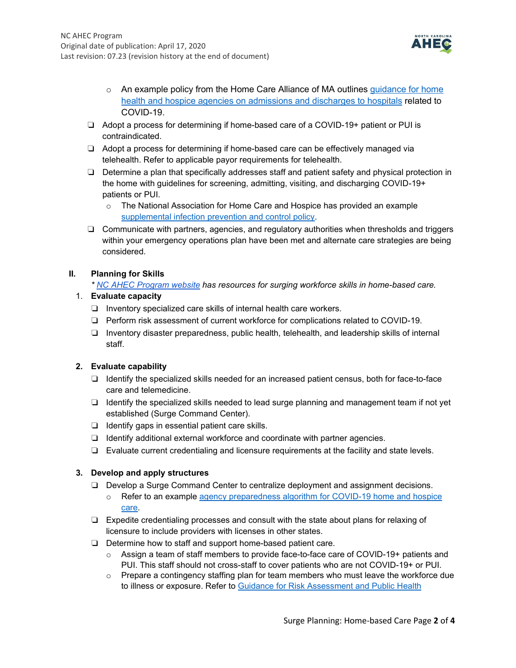

- $\circ$  An example policy from the Home Care Alliance of MA outlines quidance for home [health and hospice agencies on admissions and discharges to hospitals](https://www.nahc.org/wp-content/uploads/2020/04/HCAM-Home-Health-Guidance-for-COVID-19-Admissions.pdf) related to COVID-19.
- ❏ Adopt a process for determining if home-based care of a COVID-19+ patient or PUI is contraindicated.
- ❏ Adopt a process for determining if home-based care can be effectively managed via telehealth. Refer to applicable payor requirements for telehealth.
- ❏ Determine a plan that specifically addresses staff and patient safety and physical protection in the home with guidelines for screening, admitting, visiting, and discharging COVID-19+ patients or PUI.
	- o The National Association for Home Care and Hospice has provided an example [supplemental infection prevention and control](https://www.nahc.org/wp-content/uploads/2020/03/LHC-PP-COVID19.pdf) policy.
- ❏ Communicate with partners, agencies, and regulatory authorities when thresholds and triggers within your emergency operations plan have been met and alternate care strategies are being considered.

### **II. Planning for Skills**

*\* [NC AHEC Program website](https://www.ncahec.net/covid-19/training-and-literature-for-health-care-professionals/workforce-surge-planning-playbooks/) has resources for surging workforce skills in home-based care.*

### 1. **Evaluate capacity**

- ❏ Inventory specialized care skills of internal health care workers.
- ❏ Perform risk assessment of current workforce for complications related to COVID-19.
- ❏ Inventory disaster preparedness, public health, telehealth, and leadership skills of internal staff.

### **2. Evaluate capability**

- ❏ Identify the specialized skills needed for an increased patient census, both for face-to-face care and telemedicine.
- ❏ Identify the specialized skills needed to lead surge planning and management team if not yet established (Surge Command Center).
- ❏ Identify gaps in essential patient care skills.
- ❏ Identify additional external workforce and coordinate with partner agencies.
- ❏ Evaluate current credentialing and licensure requirements at the facility and state levels.

### **3. Develop and apply structures**

- ❏ Develop a Surge Command Center to centralize deployment and assignment decisions.
	- o Refer to an example [agency preparedness algorithm for COVID-19 home and hospice](https://www.nhpco.org/wp-content/uploads/COVID-19-Agency-Preparedness.pdf)  [care.](https://www.nhpco.org/wp-content/uploads/COVID-19-Agency-Preparedness.pdf)
- ❏ Expedite credentialing processes and consult with the state about plans for relaxing of licensure to include providers with licenses in other states.
- ❏ Determine how to staff and support home-based patient care.
	- $\circ$  Assign a team of staff members to provide face-to-face care of COVID-19+ patients and PUI. This staff should not cross-staff to cover patients who are not COVID-19+ or PUI.
	- $\circ$  Prepare a contingency staffing plan for team members who must leave the workforce due to illness or exposure. Refer to [Guidance for Risk Assessment and Public Health](https://www.cdc.gov/coronavirus/2019-ncov/hcp/guidance-risk-assesment-hcp.html)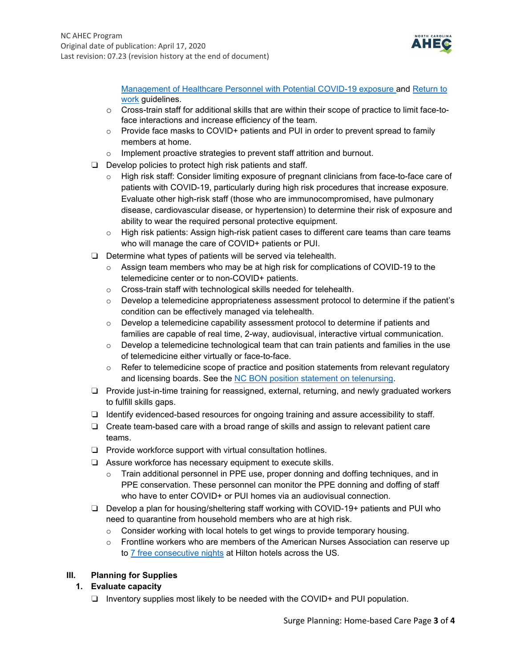

[Management of Healthcare Personnel with Potential COVID-19 exposure a](https://www.cdc.gov/coronavirus/2019-ncov/hcp/guidance-risk-assesment-hcp.html)nd [Return to](https://www.cdc.gov/coronavirus/2019-ncov/hcp/return-to-work.html?CDC_AA_refVal=https%3A%2F%2Fwww.cdc.gov%2Fcoronavirus%2F2019-ncov%2Fhealthcare-facilities%2Fhcp-return-work.html)  [work](https://www.cdc.gov/coronavirus/2019-ncov/hcp/return-to-work.html?CDC_AA_refVal=https%3A%2F%2Fwww.cdc.gov%2Fcoronavirus%2F2019-ncov%2Fhealthcare-facilities%2Fhcp-return-work.html) guidelines.

- $\circ$  Cross-train staff for additional skills that are within their scope of practice to limit face-toface interactions and increase efficiency of the team.
- $\circ$  Provide face masks to COVID+ patients and PUI in order to prevent spread to family members at home.
- o Implement proactive strategies to prevent staff attrition and burnout.
- ❏ Develop policies to protect high risk patients and staff.
	- o High risk staff: Consider limiting exposure of pregnant clinicians from face-to-face care of patients with COVID-19, particularly during high risk procedures that increase exposure. Evaluate other high-risk staff (those who are immunocompromised, have pulmonary disease, cardiovascular disease, or hypertension) to determine their risk of exposure and ability to wear the required personal protective equipment.
	- o High risk patients: Assign high-risk patient cases to different care teams than care teams who will manage the care of COVID+ patients or PUI.
- ❏ Determine what types of patients will be served via telehealth.
	- $\circ$  Assign team members who may be at high risk for complications of COVID-19 to the telemedicine center or to non-COVID+ patients.
	- o Cross-train staff with technological skills needed for telehealth.
	- $\circ$  Develop a telemedicine appropriateness assessment protocol to determine if the patient's condition can be effectively managed via telehealth.
	- $\circ$  Develop a telemedicine capability assessment protocol to determine if patients and families are capable of real time, 2-way, audiovisual, interactive virtual communication.
	- $\circ$  Develop a telemedicine technological team that can train patients and families in the use of telemedicine either virtually or face-to-face.
	- $\circ$  Refer to telemedicine scope of practice and position statements from relevant regulatory and licensing boards. See the [NC BON position statement on telenursing.](https://www.ncbon.com/vdownloads/position-statements-decision-trees/telehealth-telenursing.pdf)
- ❏ Provide just-in-time training for reassigned, external, returning, and newly graduated workers to fulfill skills gaps.
- ❏ Identify evidenced-based resources for ongoing training and assure accessibility to staff.
- ❏ Create team-based care with a broad range of skills and assign to relevant patient care teams.
- ❏ Provide workforce support with virtual consultation hotlines.
- ❏ Assure workforce has necessary equipment to execute skills.
	- $\circ$  Train additional personnel in PPE use, proper donning and doffing techniques, and in PPE conservation. These personnel can monitor the PPE donning and doffing of staff who have to enter COVID+ or PUI homes via an audiovisual connection.
- ❏ Develop a plan for housing/sheltering staff working with COVID-19+ patients and PUI who need to quarantine from household members who are at high risk.
	- $\circ$  Consider working with local hotels to get wings to provide temporary housing.
	- o Frontline workers who are members of the American Nurses Association can reserve up to [7 free consecutive nights](https://ebiz.nursingworld.org/Login?returnurl=https://www.nursingworld.org/my-account/one-million-rooms/&SSOL=Y) at Hilton hotels across the US.

# **III. Planning for Supplies**

- **1. Evaluate capacity**
	- ❏ Inventory supplies most likely to be needed with the COVID+ and PUI population.